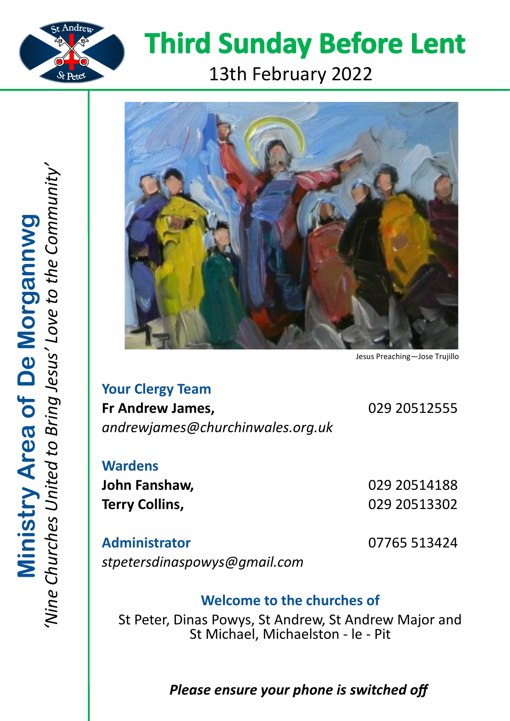

# **Third Sunday Before Lent**

## 13th February 2022



Jesus Preaching—Jose Trujillo

**Your Clergy Team Fr Andrew James,** 029 20512555 *andrewjames@churchinwales.org.uk*

**Wardens John Fanshaw,** 029 20514188

**Terry Collins,** 029 20513302

**Administrator** 07765 513424 *stpetersdinaspowys@gmail.com*

## **Welcome to the churches of**

St Peter, Dinas Powys, St Andrew, St Andrew Major and St Michael, Michaelston - le - Pit

## *Please ensure your phone is switched off*

*'Nine Churches United to Bring Jesus' Love to the Community'* Ministry Area of De Morgannwg<br>'Nine Churches United to Bring Jesus' Love to the Communit **Ministry Area of De Morgannwg**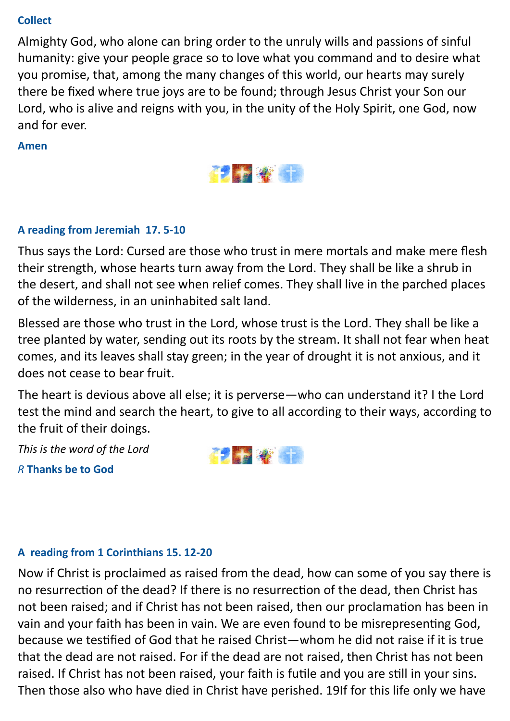#### **Collect**

Almighty God, who alone can bring order to the unruly wills and passions of sinful humanity: give your people grace so to love what you command and to desire what you promise, that, among the many changes of this world, our hearts may surely there be fixed where true joys are to be found; through Jesus Christ your Son our Lord, who is alive and reigns with you, in the unity of the Holy Spirit, one God, now and for ever.

#### **Amen**



#### **A reading from Jeremiah 17. 5-10**

Thus says the Lord: Cursed are those who trust in mere mortals and make mere flesh their strength, whose hearts turn away from the Lord. They shall be like a shrub in the desert, and shall not see when relief comes. They shall live in the parched places of the wilderness, in an uninhabited salt land.

Blessed are those who trust in the Lord, whose trust is the Lord. They shall be like a tree planted by water, sending out its roots by the stream. It shall not fear when heat comes, and its leaves shall stay green; in the year of drought it is not anxious, and it does not cease to bear fruit.

The heart is devious above all else; it is perverse—who can understand it? I the Lord test the mind and search the heart, to give to all according to their ways, according to the fruit of their doings.

*This is the word of the Lord R* **Thanks be to God**



#### **A reading from 1 Corinthians 15. 12-20**

Now if Christ is proclaimed as raised from the dead, how can some of you say there is no resurrection of the dead? If there is no resurrection of the dead, then Christ has not been raised; and if Christ has not been raised, then our proclamation has been in vain and your faith has been in vain. We are even found to be misrepresenting God, because we testified of God that he raised Christ—whom he did not raise if it is true that the dead are not raised. For if the dead are not raised, then Christ has not been raised. If Christ has not been raised, your faith is futile and you are still in your sins. Then those also who have died in Christ have perished. 19If for this life only we have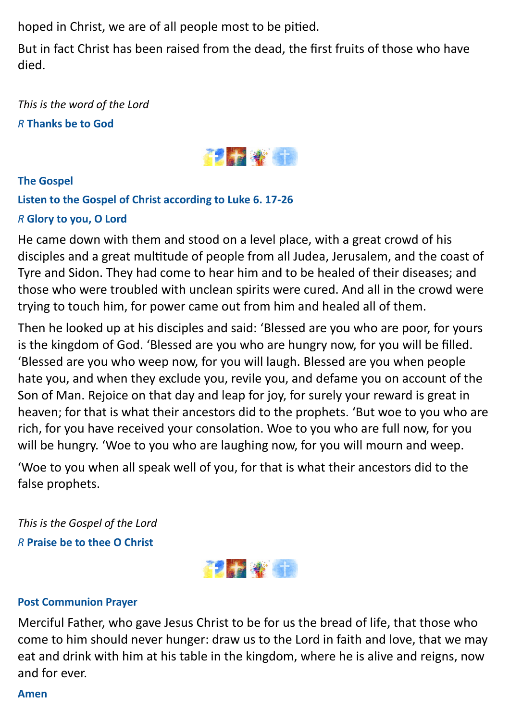hoped in Christ, we are of all people most to be pitied.

But in fact Christ has been raised from the dead, the first fruits of those who have died.

*This is the word of the Lord R* **Thanks be to God**



#### **The Gospel**

### **Listen to the Gospel of Christ according to Luke 6. 17-26**

#### *R* **Glory to you, O Lord**

He came down with them and stood on a level place, with a great crowd of his disciples and a great multitude of people from all Judea, Jerusalem, and the coast of Tyre and Sidon. They had come to hear him and to be healed of their diseases; and those who were troubled with unclean spirits were cured. And all in the crowd were trying to touch him, for power came out from him and healed all of them.

Then he looked up at his disciples and said: 'Blessed are you who are poor, for yours is the kingdom of God. 'Blessed are you who are hungry now, for you will be filled. 'Blessed are you who weep now, for you will laugh. Blessed are you when people hate you, and when they exclude you, revile you, and defame you on account of the Son of Man. Rejoice on that day and leap for joy, for surely your reward is great in heaven; for that is what their ancestors did to the prophets. 'But woe to you who are rich, for you have received your consolation. Woe to you who are full now, for you will be hungry. 'Woe to you who are laughing now, for you will mourn and weep.

'Woe to you when all speak well of you, for that is what their ancestors did to the false prophets.

*This is the Gospel of the Lord R* **Praise be to thee O Christ**



#### **Post Communion Prayer**

Merciful Father, who gave Jesus Christ to be for us the bread of life, that those who come to him should never hunger: draw us to the Lord in faith and love, that we may eat and drink with him at his table in the kingdom, where he is alive and reigns, now and for ever.